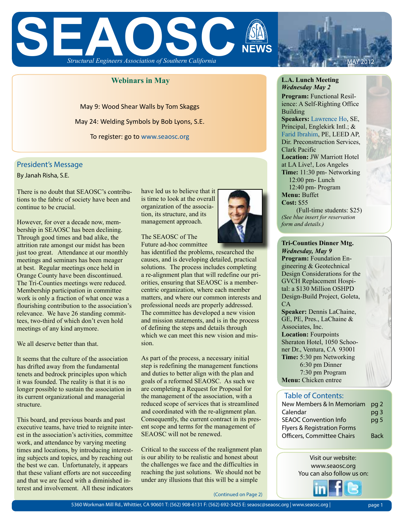

### **Webinars in May**

May 9: Wood Shear Walls by Tom Skaggs May 24: Welding Symbols by Bob Lyons, S.E. To register: go to www.seaosc.org

#### President's Message

By Janah Risha, S.E.

There is no doubt that SEAOSC's contributions to the fabric of society have been and continue to be crucial.

However, for over a decade now, membership in SEAOSC has been declining. Through good times and bad alike, the attrition rate amongst our midst has been just too great. Attendance at our monthly meetings and seminars has been meager at best. Regular meetings once held in Orange County have been discontinued. The Tri-Counties meetings were reduced. Membership participation in committee work is only a fraction of what once was a flourishing contribution to the association's relevance. We have 26 standing committees, two-third of which don't even hold meetings of any kind anymore.

We all deserve better than that.

It seems that the culture of the association has drifted away from the fundamental tenets and bedrock principles upon which it was founded. The reality is that it is no longer possible to sustain the association in its current organizational and managerial structure.

This board, and previous boards and past executive teams, have tried to reignite interest in the association's activities, committee work, and attendance by varying meeting times and locations, by introducing interesting subjects and topics, and by reaching out the best we can. Unfortunately, it appears that these valiant efforts are not succeeding and that we are faced with a diminished interest and involvement. All these indicators

have led us to believe that it is time to look at the overall organization of the association, its structure, and its management approach.

The SEAOSC of The Future ad-hoc committee

has identified the problems, researched the causes, and is developing detailed, practical solutions. The process includes completing a re-alignment plan that will redefine our priorities, ensuring that SEAOSC is a membercentric organization, where each member matters, and where our common interests and professional needs are properly addressed. The committee has developed a new vision and mission statements, and is in the process of defining the steps and details through which we can meet this new vision and mission.

As part of the process, a necessary initial step is redefining the management functions and duties to better align with the plan and goals of a reformed SEAOSC. As such we are completing a Request for Proposal for the management of the association, with a reduced scope of services that is streamlined and coordinated with the re-alignment plan. Consequently, the current contract in its present scope and terms for the management of SEAOSC will not be renewed.

Critical to the success of the realignment plan is our ability to be realistic and honest about the challenges we face and the difficulties in reaching the just solutions. We should not be under any illusions that this will be a simple

(Continued on Page 2)



**Program:** Functional Resilience: A Self-Righting Office Building

MAY 2012

**Speakers:** Lawrence Ho, SE, Principal, Englekirk Intl.; & Farid Ibrahim, PE, LEED AP, Dir. Preconstruction Services, Clark Pacific

**Location:** JW Marriott Hotel at LA Live!, Los Angeles **Time:** 11:30 pm- Networking 12:00 pm- Lunch 12:40 pm- Program **Menu:** Buffet

**Cost:** \$55

 (Full-time students: \$25) *(See blue insert for reservation form and details.)*

**Program:** Foundation Engineering & Geotechnical Design Considerations for the GVCH Replacement Hospital: a \$130 Million OSHPD Design-Build Project, Goleta, CA **Speaker:** Dennis LaChaine, GE, PE, Pres., LaChaine & Associates, Inc. **Location:** Fourpoints Sheraton Hotel, 1050 Schooner Dr., Ventura, CA 93001 **Time:** 5:30 pm Networking 6:30 pm Dinner 7:30 pm Program **Menu:** Chicken entree **Tri-Counties Dinner Mtg.**  *Wednesday, May 9*

#### Table of Contents:

| New Members & In Memoriam              | pg 2            |
|----------------------------------------|-----------------|
| Calendar                               | pg 3            |
| <b>SEAOC Convention Info</b>           | pq <sub>5</sub> |
| <b>Flyers &amp; Registration Forms</b> |                 |
| Officers, Committee Chairs             | <b>Back</b>     |

Visit our website: www.seaosc.org You can also follow us on:



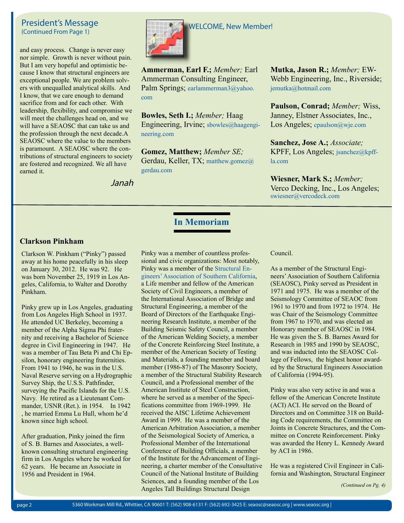## President's Message (Continued From Page 1)

and easy process. Change is never easy nor simple. Growth is never without pain. But I am very hopeful and optimistic because I know that structural engineers are exceptional people. We are problem solvers with unequalled analytical skills. And I know, that we care enough to demand sacrifice from and for each other. With leadership, flexibility, and compromise we will meet the challenges head on, and we will have a SEAOSC that can take us and the profession through the next decade.A SEAOSC where the value to the members is paramount. A SEAOSC where the contributions of structural engineers to society are fostered and recognized. We all have earned it.



**Ammerman, Earl F.;** *Member;* Earl Ammerman Consulting Engineer, Palm Springs; earlammerman3@yahoo. com

**Bowles, Seth I.;** *Member;* Haag Engineering, Irvine; sbowles@haagengineering.com

**Gomez, Matthew;** *Member SE;*  Gerdau, Keller, TX; matthew.gomez@ gerdau.com

**In Memoriam**

Janah

**Mutka, Jason R.;** *Member;* EW-Webb Engineering, Inc., Riverside; jemutka@hotmail.com

**Paulson, Conrad;** *Member;* Wiss, Janney, Elstner Associates, Inc., Los Angeles; cpaulson@wje.com

**Sanchez, Jose A.;** *Associate;*  KPFF, Los Angeles; jsanchez@kpffla.com

**Wiesner, Mark S.;** *Member;*  Verco Decking, Inc., Los Angeles; swiesner@vercodeck.com

## **Clarkson Pinkham**

Clarkson W. Pinkham ("Pinky") passed away at his home peacefully in his sleep on January 30, 2012. He was 92. He was born November 25, 1919 in Los Angeles, California, to Walter and Dorothy Pinkham.

Pinky grew up in Los Angeles, graduating from Los Angeles High School in 1937. He attended UC Berkeley, becoming a member of the Alpha Sigma Phi fraternity and receiving a Bachelor of Science degree in Civil Engineering in 1947. He was a member of Tau Beta Pi and Chi Epsilon, honorary engineering fraternities. From 1941 to 1946, he was in the U.S. Naval Reserve serving on a Hydrographic Survey Ship, the U.S.S. Pathfinder, surveying the Pacific Islands for the U.S. Navy. He retired as a Lieutenant Commander, USNR (Ret.). in 1954. In 1942 , he married Emma Lu Hull, whom he'd known since high school.

After graduation, Pinky joined the firm of S. B. Barnes and Associates, a wellknown consulting structural engineering firm in Los Angeles where he worked for 62 years. He became an Associate in 1956 and President in 1964.

Pinky was a member of countless professional and civic organizations: Most notably, Pinky was a member of the Structural Engineers' Association of Southern California, a Life member and fellow of the American Society of Civil Engineers, a member of the International Association of Bridge and Structural Engineering, a member of the Board of Directors of the Earthquake Engineering Research Institute, a member of the Building Seismic Safety Council, a member of the American Welding Society, a member of the Concrete Reinforcing Steel Institute, a member of the American Society of Testing and Materials, a founding member and board member (1986-87) of The Masonry Society, a member of the Structural Stability Research Council, and a Professional member of the American Institute of Steel Construction, where he served as a member of the Specifications committee from 1969-1999. He received the AISC Lifetime Achievement Award in 1999. He was a member of the American Arbitration Association, a member of the Seismological Society of America, a Professional Member of the International Conference of Building Officials, a member of the Institute for the Advancement of Engineering, a charter member of the Consultative Council of the National Institute of Building Sciences, and a founding member of the Los Angeles Tall Buildings Structural Design

Council.

As a member of the Structural Engineers' Association of Southern California (SEAOSC), Pinky served as President in 1971 and 1975. He was a member of the Seismology Committee of SEAOC from 1961 to 1970 and from 1972 to 1974. He was Chair of the Seismology Committee from 1967 to 1970, and was elected an Honorary member of SEAOSC in 1984. He was given the S. B. Barnes Award for Research in 1985 and 1990 by SEAOSC, and was inducted into the SEAOSC College of Fellows, the highest honor awarded by the Structural Engineers Association of California (1994-95).

Pinky was also very active in and was a fellow of the American Concrete Institute (ACI) ACI. He served on the Board of Directors and on Committee 318 on Building Code requirements, the Committee on Joints in Concrete Structures, and the Committee on Concrete Reinforcement. Pinky was awarded the Henry L. Kennedy Award by ACI in 1986.

He was a registered Civil Engineer in California and Washington, Structural Engineer

*(Continued on Pg. 4)*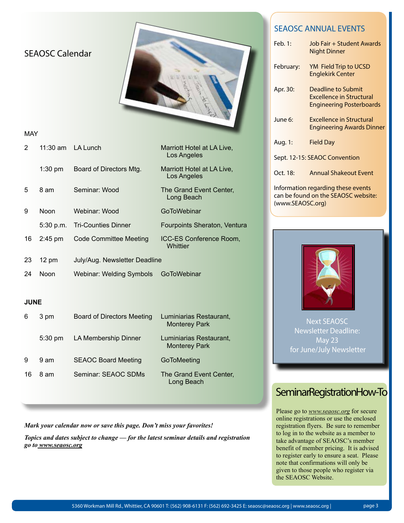|                | <b>SEAOSC Calendar</b> |                                   |                                                 | Feb. 1:<br>February:<br>Apr. 30: | <b>SEAOSC ANNUAL EVENTS</b><br>Job Fair + Student Awards<br><b>Night Dinner</b><br>YM Field Trip to UCSD<br><b>Englekirk Center</b><br><b>Deadline to Submit</b><br><b>Excellence in Structural</b><br><b>Engineering Posterboards</b> |
|----------------|------------------------|-----------------------------------|-------------------------------------------------|----------------------------------|----------------------------------------------------------------------------------------------------------------------------------------------------------------------------------------------------------------------------------------|
| <b>MAY</b>     |                        |                                   |                                                 | June 6:                          | <b>Excellence in Structural</b><br><b>Engineering Awards Dinner</b>                                                                                                                                                                    |
| $\overline{2}$ | $11:30$ am             | <b>LA Lunch</b>                   | Marriott Hotel at LA Live,<br>Los Angeles       | Aug. 1:                          | <b>Field Day</b>                                                                                                                                                                                                                       |
|                | $1:30$ pm              | Board of Directors Mtg.           | Marriott Hotel at LA Live,                      | Oct. 18:                         | Sept. 12-15: SEAOC Convention<br><b>Annual Shakeout Event</b>                                                                                                                                                                          |
|                | 8 am                   | Seminar: Wood                     | Los Angeles                                     |                                  | Information regarding these events                                                                                                                                                                                                     |
| 5              |                        |                                   | The Grand Event Center,<br>Long Beach           | (www.SEAOSC.org)                 | can be found on the SEAOSC website:                                                                                                                                                                                                    |
| 9              | Noon                   | Webinar: Wood                     | GoToWebinar                                     |                                  |                                                                                                                                                                                                                                        |
|                | 5:30 p.m.              | <b>Tri-Counties Dinner</b>        | Fourpoints Sheraton, Ventura                    |                                  |                                                                                                                                                                                                                                        |
| 16             | $2:45$ pm              | <b>Code Committee Meeting</b>     | ICC-ES Conference Room,<br>Whittier             |                                  |                                                                                                                                                                                                                                        |
| 23             | $12 \text{ pm}$        | July/Aug. Newsletter Deadline     |                                                 |                                  |                                                                                                                                                                                                                                        |
| 24             | Noon                   | <b>Webinar: Welding Symbols</b>   | GoToWebinar                                     |                                  |                                                                                                                                                                                                                                        |
| <b>JUNE</b>    |                        |                                   |                                                 |                                  |                                                                                                                                                                                                                                        |
| 6              | 3 pm                   | <b>Board of Directors Meeting</b> | Luminiarias Restaurant,<br><b>Monterey Park</b> |                                  | <b>Next SEAOSC</b><br><b>Newsletter Deadline:</b>                                                                                                                                                                                      |
|                | 5:30 pm                | LA Membership Dinner              | Luminiarias Restaurant,<br><b>Monterey Park</b> |                                  | May 23<br>for June/July Newsletter                                                                                                                                                                                                     |
| 9              | 9 am                   | <b>SEAOC Board Meeting</b>        | GoToMeeting                                     |                                  |                                                                                                                                                                                                                                        |
| 16             | 8 am                   | Seminar: SEAOC SDMs               | The Grand Event Center,<br>Long Beach           |                                  |                                                                                                                                                                                                                                        |
|                |                        |                                   |                                                 |                                  | SeminarRegistrationHow-To                                                                                                                                                                                                              |

*Mark your calendar now or save this page. Don't miss your favorites!*

*Topics and dates subject to change — for the latest seminar details and registration go to www.seaosc.org*

### 5360 Workman Mill Rd., Whittier, CA 90601 T: (562) 908-6131 F: (562) 692-3425 E: seaosc@seaosc.org | www.seaosc.org | page 3

Please go to *www.seaosc.org* for secure online registrations or use the enclosed registration flyers. Be sure to remember to log in to the website as a member to take advantage of SEAOSC's member benefit of member pricing. It is advised to register early to ensure a seat. Please note that confirmations will only be given to those people who register via

the SEAOSC Website.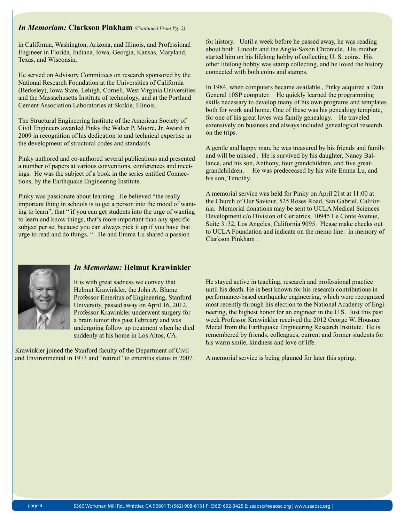## *In Memoriam:* **Clarkson Pinkham** *(Continued From Pg. 2)*

in California, Washington, Arizona, and Illinois, and Professional Engineer in Florida, Indiana, Iowa, Georgia, Kansas, Maryland, Texas, and Wisconsin.

He served on Advisory Committees on research sponsored by the National Research Foundation at the Universities of California (Berkeley), Iowa State, Lehigh, Cornell, West Virginia Universities and the Massachusetts Institute of technology, and at the Portland Cement Association Laboratories at Skokie, Illinois.

The Structural Engineering Institute of the American Society of Civil Engineers awarded Pinky the Walter P. Moore, Jr. Award in 2009 in recognition of his dedication to and technical expertise in the development of structural codes and standards

. Pinky authored and co-authored several publications and presented a number of papers at various conventions, conferences and meetings. He was the subject of a book in the series entitled Connections, by the Earthquake Engineering Institute.

Pinky was passionate about learning. He believed "the really important thing in schools is to get a person into the mood of wanting to learn", that " if you can get students into the urge of wanting to learn and know things, that's more important than any specific subject per se, because you can always pick it up if you have that urge to read and do things. " He and Emma Lu shared a passion

for history. Until a week before he passed away, he was reading about both Lincoln and the Anglo-Saxon Chronicle. His mother started him on his lifelong hobby of collecting U. S. coins. His other lifelong hobby was stamp collecting, and he loved the history connected with both coins and stamps.

In 1984, when computers became available , Pinky acquired a Data General 10SP computer. He quickly learned the programming skills necessary to develop many of his own programs and templates both for work and home. One of these was his genealogy template, for one of his great loves was family genealogy. He traveled extensively on business and always included genealogical research on the trips.

A gentle and happy man, he was treasured by his friends and family and will be missed . He is survived by his daughter, Nancy Ballance, and his son, Anthony, four grandchildren, and five greatgrandchildren. He was predeceased by his wife Emma Lu, and his son, Timothy.

A memorial service was held for Pinky on April 21st at 11:00 at the Church of Our Saviour, 525 Roses Road, San Gabriel, California. Memorial donations may be sent to UCLA Medical Sciences Development c/o Division of Geriatrics, 10945 Le Conte Avenue, Suite 3132, Los Angeles, California 9095. Please make checks out to UCLA Foundation and indicate on the memo line: in memory of Clarkson Pinkham .



## *In Memoriam:* **Helmut Krawinkler**

It is with great sadness we convey that Helmut Krawinkler, the John A. Blume Professor Emeritus of Engineering, Stanford University, passed away on April 16, 2012. Professor Krawinkler underwent surgery for a brain tumor this past February and was undergoing follow up treatment when he died suddenly at his home in Los Altos, CA.

Krawinkler joined the Stanford faculty of the Department of Civil and Environmental in 1973 and "retired" to emeritus status in 2007. He stayed active in teaching, research and professional practice until his death. He is best known for his research contributions in performance-based earthquake engineering, which were recognized most recently through his election to the National Academy of Engineering, the highest honor for an engineer in the U.S. Just this past week Professor Krawinkler received the 2012 George W. Housner Medal from the Earthquake Engineering Research Institute. He is remembered by friends, colleagues, current and former students for his warm smile, kindness and love of life.

A memorial service is being planned for later this spring.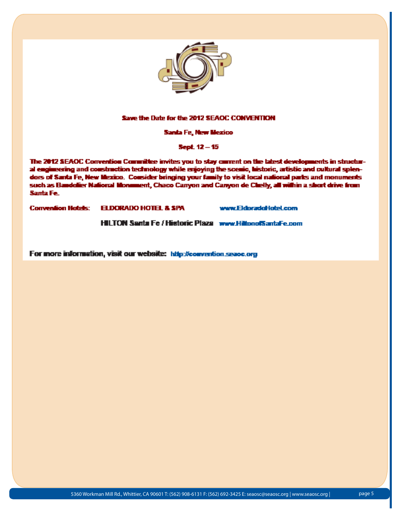

#### Save the Date for the 2012 SEAOC CONVENTION

Santa Fe, New Mexico

Sept. 12 - 15

The 2012 SEAOC Convention Committee invites you to stay convent on the latest developments in structural engineering and construction technology while enjoying the scenic, historic, artistic and cultural splendors of Santa Fe, New Mexico. Consider bringing your family to visit local national parks and monuments such as Bandolier National Monument, Chaco Canyon and Canyon de Chelly, all within a short drive from Santa Fe.

Convention Hotels: **ELDORADO HOTEL & SPA** 

www.EkbradoHoteLeom

**HILTON Santa Fe / Historic Plaza www.HiltonofSantaFe.com** 

For more information, visit our website: http://convention.seace.org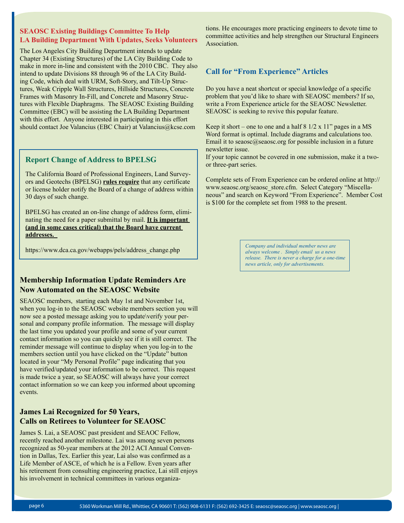## **SEAOSC Existing Buildings Committee To Help LA Building Department With Updates, Seeks Volunteers**

The Los Angeles City Building Department intends to update Chapter 34 (Existing Structures) of the LA City Building Code to make in more in-line and consistent with the 2010 CBC. They also intend to update Divisions 88 through 96 of the LA City Building Code, which deal with URM, Soft-Story, and Tilt-Up Structures, Weak Cripple Wall Structures, Hillside Structures, Concrete Frames with Masonry In-Fill, and Concrete and Masonry Structures with Flexible Diaphragms. The SEAOSC Existing Building Committee (EBC) will be assisting the LA Building Department with this effort. Anyone interested in participating in this effort should contact Joe Valancius (EBC Chair) at Valancius@kcse.com

## **Report Change of Address to BPELSG**

The California Board of Professional Engineers, Land Surveyors and Geotechs (BPELSG) **rules require** that any certificate or license holder notify the Board of a change of address within 30 days of such change.

BPELSG has created an on-line change of address form, eliminating the need for a paper submittal by mail. **It is important (and in some cases critical) that the Board have current addresses.** 

https://www.dca.ca.gov/webapps/pels/address\_change.php

## **Membership Information Update Reminders Are Now Automated on the SEAOSC Website**

SEAOSC members, starting each May 1st and November 1st, when you log-in to the SEAOSC website members section you will now see a posted message asking you to update\verify your personal and company profile information. The message will display the last time you updated your profile and some of your current contact information so you can quickly see if it is still correct. The reminder message will continue to display when you log-in to the members section until you have clicked on the "Update" button located in your "My Personal Profile" page indicating that you have verified/updated your information to be correct. This request is made twice a year, so SEAOSC will always have your correct contact information so we can keep you informed about upcoming events.

## **James Lai Recognized for 50 Years, Calls on Retirees to Volunteer for SEAOSC**

James S. Lai, a SEAOSC past president and SEAOC Fellow, recently reached another milestone. Lai was among seven persons recognized as 50-year members at the 2012 ACI Annual Convention in Dallas, Tex. Earlier this year, Lai also was confirmed as a Life Member of ASCE, of which he is a Fellow. Even years after his retirement from consulting engineering practice, Lai still enjoys his involvement in technical committees in various organizations. He encourages more practicing engineers to devote time to committee activities and help strengthen our Structural Engineers Association.

## **Call for "From Experience" Articles**

Do you have a neat shortcut or special knowledge of a specific problem that you'd like to share with SEAOSC members? If so, write a From Experience article for the SEAOSC Newsletter. SEAOSC is seeking to revive this popular feature.

Keep it short – one to one and a half  $8 \frac{1}{2} \times 11$ " pages in a MS Word format is optimal. Include diagrams and calculations too. Email it to seaosc@seaosc.org for possible inclusion in a future newsletter issue.

If your topic cannot be covered in one submission, make it a twoor three-part series.

Complete sets of From Experience can be ordered online at http:// www.seaosc.org/seaosc\_store.cfm. Select Category "Miscellaneous" and search on Keyword "From Experience". Member Cost is \$100 for the complete set from 1988 to the present.

> *Company and individual member news are always welcome . Simply email us a news release. There is never a charge for a one-time news article, only for advertisements.*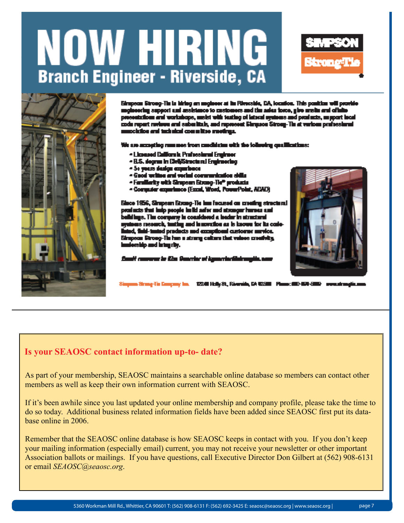# NOW HIRING **Branch Engineer - Riverside, CA**





Eiropean Groeg-Tin is hiring an angineer at its Riverside, CA, location. This panitize will provide momenting ampost and austriance to mastement and the asies force, give availa and officiaatations and workshope, melet with testing of lateral systems and products, as pport local code report reviews and submittals, and represent Elemanos Strong-Tin at verious prefessional ockilos ani tuzinkal committee medinga.

t are accepting number from condition with the following qualifications:

- Licensed California Professional Engineer
- B.S. degree in Civil/Structural Engineering
- 5+ yours design exparisoner
- Good written and veried communication stills
- Familiarity with Simpson Etrong-Tie<sup>n</sup> products
- Computer experience (Excel, Word, PowerPoint, ADAD)

Since 1956, Simpson Strong-Tie into focused on creating structural products that indp people in its autor and atronger harves sual olldings. The company in considered a leader in structural is neared, turling and innovation as is known for its codei, finiti-tunind products and exceptiousi customer numical Eiropean Brong-Tin has a strong calium that values creativity, , yth gaint bas chip



ll commune às 62m Guardac at Aguacciaci

1224 Holly St., Riverside, CA 92200 Planne: 000-021-20

## **Is your SEAOSC contact information up-to- date?**

As part of your membership, SEAOSC maintains a searchable online database so members can contact other members as well as keep their own information current with SEAOSC.

If it's been awhile since you last updated your online membership and company profile, please take the time to do so today. Additional business related information fields have been added since SEAOSC first put its database online in 2006.

Remember that the SEAOSC online database is how SEAOSC keeps in contact with you. If you don't keep your mailing information (especially email) current, you may not receive your newsletter or other important Association ballots or mailings. If you have questions, call Executive Director Don Gilbert at (562) 908-6131 or email *SEAOSC@seaosc.org*.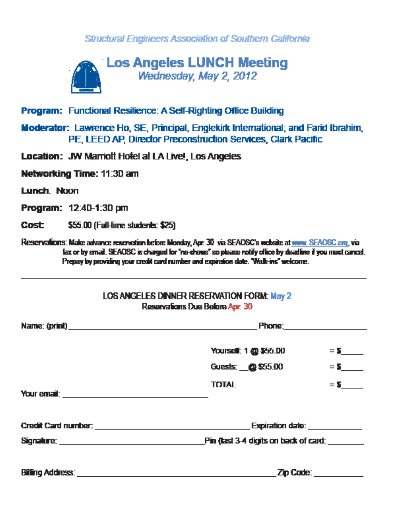Structural Engineers Association of Southern California



- **Program: Functional Resilience: A Self-Righting Office Building**
- **Moderator:** Lawrence Ho, SE, Principal, Englekirk International; and Farid Ibrahim, PE, LEED AP, Director Preconstruction Services, Clark Pacific

**Location: JW Marriott Hotel at LA Livel, Los Angeles** 

Networking Time: 11:30 am

Lunch: Noon

**Program: 12:40-1:30 pm** 

Cost \$55.00 (Full-time students: \$25)

Reservations: Make advance reservation before Monday, Apr. 30 via SEAOSC's website at www. SEAOSC.org, via . fax or by email. SEAOSC is charged for "no-chows" so please notify office by deadline if you must cancel. Prepay by providing your credit card number and expiration date. "Walk-ins" welcome.

## LOS ANGELES DINNER RESERVATION FORM: May 2 Reservations Due Before Apr. 30

| Yourself: 1 @ \$55.00                 |                                           |  |  |
|---------------------------------------|-------------------------------------------|--|--|
| Guests: @\$55.00                      | $=$ $\mathbf{s}$ and $\mathbf{s}$         |  |  |
| <b>TOTAL</b>                          | $=$ 5 $-$                                 |  |  |
|                                       | Expiration date: <b>www.community.com</b> |  |  |
| Pin (last 3-4 digits on back of card: |                                           |  |  |
|                                       | Zip Code: _________                       |  |  |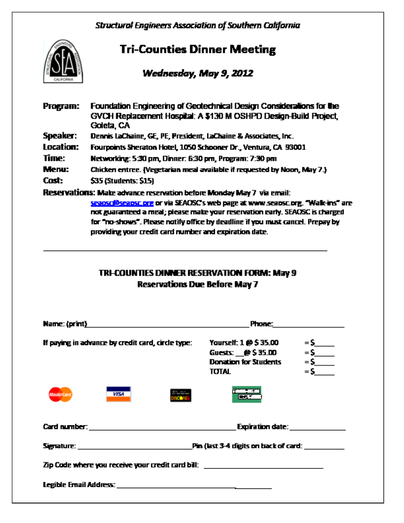**Structural Engineers Association of Southern California** 



# **Tri-Counties Dinner Meeting**

## Wednesday, May 9, 2012

| Program:  | Foundation Engineering of Geotechnical Design Considerations for the<br>GVCH Replacement Hospital: A \$130 M OSHPD Design-Build Project,<br>Goleta, C.A.                                                                                                                                                                                                                           |
|-----------|------------------------------------------------------------------------------------------------------------------------------------------------------------------------------------------------------------------------------------------------------------------------------------------------------------------------------------------------------------------------------------|
| Speaker:  | Dennis LaChaine, GE, PE, President, LaChaine & Associates, Inc.                                                                                                                                                                                                                                                                                                                    |
| Location: | Fourpoints Sheraton Hotel, 1050 Schooner Dr., Ventura, CA 93001                                                                                                                                                                                                                                                                                                                    |
| Time:     | Networking: 5:30 pm, Dinner: 6:30 pm, Program: 7:30 pm.                                                                                                                                                                                                                                                                                                                            |
| Menu:     | Chicken entree. (Vegetarian meal available if requested by Noon, May 7.)                                                                                                                                                                                                                                                                                                           |
| Cost:     | \$35 (Students: \$15)                                                                                                                                                                                                                                                                                                                                                              |
|           | Reservations: Make advance reservation before Monday May 7 via email:<br>seapsc@seapsc.pre or via SEAOSC's web page at www.seapsc.pre. "Walk-ins" are<br>not guaranteed a meal; please make your reservation early. SEAOSC is charged.<br>for "no-shows". Please notify office by deadline if you must cancel. Prepay by<br>providing your credit card number and expiration date. |
|           | <b>TRI-COUNTIES DINNER RESERVATION FORM: May 9</b>                                                                                                                                                                                                                                                                                                                                 |

**Reservations Due Before May 7** 

| Name: (print)                                                                                                                                                                                             | Phone:                                                                                                                                     |  |  |  |
|-----------------------------------------------------------------------------------------------------------------------------------------------------------------------------------------------------------|--------------------------------------------------------------------------------------------------------------------------------------------|--|--|--|
| If paying in advance by credit card, circle type:                                                                                                                                                         | Yourself: 1 @ \$ 35.00<br>$=$ 5 $\qquad$<br>$=$ 5 $\qquad$<br>Guests: $@535.00$<br>$=$ 5<br><b>Donation for Students</b><br>$=$ 5<br>TOTAL |  |  |  |
| <b>VISA</b><br>MashurCard                                                                                                                                                                                 |                                                                                                                                            |  |  |  |
| Card number: <b>Card number: Card number: Card number: Card number: Card number: Card number: Card number: Card number: Card number: Card number: Card number: Card number: Card number: Card number:</b> | Expiration date: <b>Expiration</b>                                                                                                         |  |  |  |
|                                                                                                                                                                                                           | . Pin (last 3-4 digits on back of card: ____________                                                                                       |  |  |  |
| Zip Code where you receive your credit card bill:                                                                                                                                                         |                                                                                                                                            |  |  |  |
|                                                                                                                                                                                                           |                                                                                                                                            |  |  |  |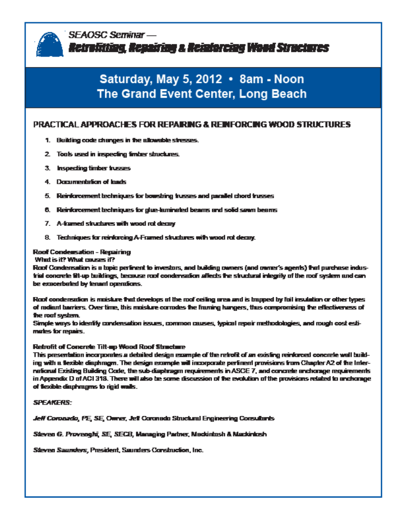

SEAOSC Seminar — Retrolitting, Repairing a Reinforcing Wood Structures

## Saturday, May 5, 2012 . 8am - Noon **The Grand Event Center, Long Beach**

## PRACTICAL APPROACHES FOR REPAIRING & REINFORCING WOOD STRUCTURES

- 1. Building code changes in the allowable stresses.
- 2. Tools used in inspecting finder structures.
- 3. Inspecting timber trusses
- 4. Documentation of bads
- 5. Reinforcement techniques for bounding frusses and parallel chord trusses
- 6. Reinforcement bechniques for glue-laminated beams and solid sawm beams
- 7. A-framed structures with wood rot decay
- 8. Techniques for reinforcing A-Framed structures with wood rot decay.

## Roof Condensation - Repairing

What is it? What causes it?

Roof Condersation is a topic periment to investors, and building comers (and owner's agents) that purchase industrial concrete tit-up buildings, because roof condensation affects the structural integrity of the roof system and can be exacerbated by tenant operations.

Roof condensation is maisture that develops at the roof ceiling area and is trapped by full insulation or other types of redient barriers. Over time, this muisture corrodes the framing hangers, thus compromising the effectiveness of the roof system.

Simple ways to identify condensation issues, common causes, typical repair methodologies, and rough cost estimates for repairs.

#### Retrofit of Concrete Tilt-up Wood Roof Structure

This presentation incorporates a detailed design example of the retrofit of an existing reinforced concrete wall building with a texible diaphragm. The design example will incorporate perfinent provisions from Chapter A2 of the International Existing Building Code, the sub-diaphragm requirements in ASCE 7, and concrete anchorage requirements in Appendix D of ACI 318. There will also be some discussion of the excludion of the provisions related to enchange of flexible disphragms to rigid walls.

#### **SPEAKERS:**

Jeff Coronado, PE, SE, Owner, Jeff Coronado Structural Engineering Consultants

Steven G. Provengiti, SE, SECR, Managing Partner, Mackintosh & Mackintosh

Steven Saunders, President, Saunders Construction, Inc.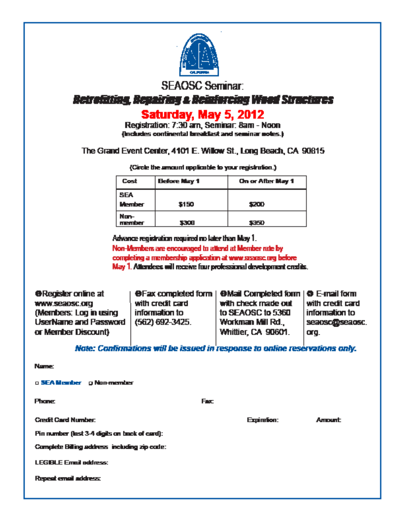

**Betrafitting, Benairing a Beinfarcing Wead Structures** 

## Saturday, May 5, 2012

Registration: 7:30 am, Seminar: 8am - Noon (includes continental breakfast and seminar notes.)

## The Grand Event Center, 4101 E. Willow St., Long Beach, CA 90815

Cost **Before Nay 1** On or After May 1 **SFA Member** \$150 \$200 Non*member* 3300 5350

(Circle the amount applicable to your registration.)

Advance registration required no later than May 1. Non-Members are encouraged to attend at Member rate by

completing a membership application at www.searce.org before May 1. Attendees will receive four professional development credits.

**O**Register online at WWW.Seapsc.org (Members: Log in using UserName and Password or Member Discount)

with credit card information to  $(562) 692 - 3425.$ 

**OF ax completed form | OMail Completed form | O E-mail form** with check made out to SEAOSC to 5360 Workman Mill Rd., Whittier, CA 90601.

with credit card information to seaoscobseaosc. org.

## Note: Confirmations will be issued in response to online reservations only.

**Name:** 

a SEA Member a Non-member

**Phone:** 

Fax:

**Credit Card Number:** 

Fin number (last 3-4 digits on back of card):

Complete Billing address including zip code:

**LEGIBLE Email address:** 

Repeat email address:

Expiration:

Amount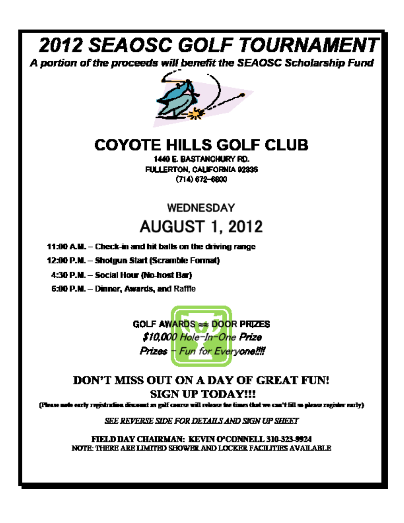# **2012 SEAOSC GOLF TOURNAMENT**

A portion of the proceeds will benefit the SEAOSC Scholarship Fund



# **COYOTE HILLS GOLF CLUB**

1440 E. BASTANCHURY RD. FULLERTON, CALIFORNIA 02335  $(714) 672 - 6800$ 

# **WEDNESDAY AUGUST 1, 2012**

- 11:00 A.M. Check-in and hit balls on the driving range
- 12:00 P.M. Shotgun Start (Scramble Format)
- 4:30 P.M. Social Hour (No-host Bar)
- 6:00 P.M. Dinner, Awards, and Raffle

**GOLF AWARDS == DOOR PRIZES** \$10,000 Hole-In-One Prize Prizes - Fun for Everyone!!!!

## DON'T MISS OUT ON A DAY OF GREAT FUN! **SIGN UP TODAY!!!**

(Please note early registration discount as galf course will release the times that we can't fill so please register early).

SEE REVERSE SIDE FOR DETAILS AND SIGN UP SHEET

FIELD DAY CHAIRMAN: KEVIN O'CONNELL 310-323-9924 NOTE: THERE ARE LIMITED SHOWER AND LOCKER FACILITIES AVAILABLE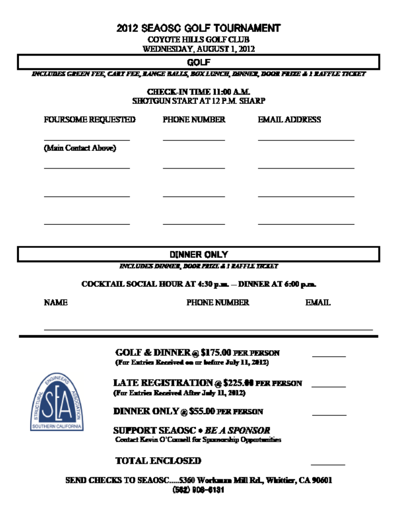## 2012 SEAOSC GOLF TOURNAMENT

**COYOTE HILLS GOLF CLUB** 

WEDNESDAY, AUGUST 1, 2012

**GOLF** 

DICLUBES CHEEN FEE, CART FEE, RANGE RALLS, BOX LUNCH, BONNER, BOOR FRIZE & I RAFFLE TICKET

**CHECK-IN TIME 11:00 A.M.** SHOTGUN START AT 12 P.M. SHARP

| <b>FOURSOME REQUESTED</b> | <b>PHONE NUMBER</b> | <b>EMAIL ADDRESS</b> |
|---------------------------|---------------------|----------------------|
| (Main Contact Above)      |                     |                      |
|                           |                     |                      |
|                           |                     |                      |

DINNER ONLY

INCLUDES DINNER, DOOR FRIZE & I RAFFLE TREAET

COCKTAIL SOCIAL HOUR AT 4:30 p.m. - DINNER AT 6:00 p.m.

|--|

**PHONE NUMBER** 

**EMAIL** 

**GOLF & DINNER @ \$175.00 PER PERSON** (For Entries Received on or before July 11, 2012) **LATE REGISTRATION @ \$225.00 FER FERSON** (For Entries Received After July 11, 2012) **DINNER ONLY @ \$55.00 PER FERSON SUPPORT SEAOSC . BE A SPONSOR** Contact Kevin O'Connell for Spannorship Opportunities

## **TOTAL ENCLOSED**

SEND CHECKS TO SEAOSC.....5360 Workman Mill Rd., Whittier, CA 90601 (582) 908-6131